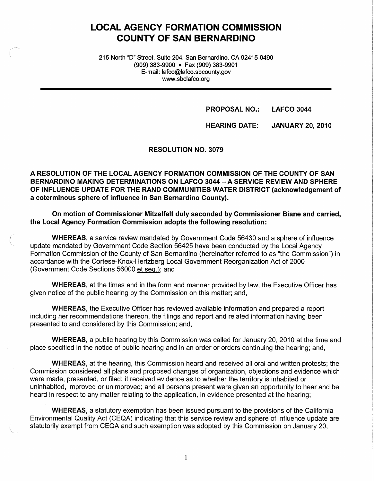# **LOCAL AGENCY FORMATION COMMISSION COUNTY OF SAN BERNARDINO**

215 North "D" Street, Suite 204, San Bernardino, CA 92415-0490 (909) 383-9900 • Fax (909) 383-9901 E-mail: lafco@lafco.sbcounty.gov www.sbclafco.org

(

**PROPOSAL NO.: LAFCO 3044** 

**HEARING DATE: JANUARY 20, 2010** 

**RESOLUTION NO. 3079** 

**A RESOLUTION OF THE LOCAL AGENCY FORMATION COMMISSION OF THE COUNTY OF SAN BERNARDINO MAKING DETERMINATIONS ON LAFCO 3044** - **A SERVICE REVIEW AND SPHERE OF INFLUENCE UPDATE FOR THE RAND COMMUNITIES WATER DISTRICT (acknowledgement of a coterminous sphere of influence in San Bernardino County).** 

**On motion of Commissioner Mitzelfelt duly seconded by Commissioner Biane and carried, the Local Agency Formation Commission adopts the following resolution:** 

**WHEREAS,** a service review mandated by Government Code 56430 and a sphere of influence update mandated by Government Code Section 56425 have been conducted by the Local Agency Formation Commission of the County of San Bernardino (hereinafter referred to as "the Commission") in accordance with the Cortese-Knox-Hertzberg Local Government Reorganization Act of 2000 (Government Code Sections 56000 et seq.): and

**WHEREAS,** at the times and in the form and manner provided by law, the Executive Officer has given notice of the public hearing by the Commission on this matter; and,

**WHEREAS,** the Executive Officer has reviewed available information and prepared a report including her recommendations thereon, the filings and report and related information having been presented to and considered by this Commission; and,

**WHEREAS,** a public hearing by this Commission was called for January 20, 2010 at the time and place specified in the notice of public hearing and in an order or orders continuing the hearing; and,

**WHEREAS,** at the hearing, this Commission heard and received all oral and written protests; the Commission considered all plans and proposed changes of organization, objections and evidence which were made, presented, or filed; it received evidence as to whether the territory is inhabited or uninhabited, improved or unimproved; and all persons present were given an opportunity to hear and be heard in respect to any matter relating to the application, in evidence presented at the hearing;

**WHEREAS,** a statutory exemption has been issued pursuant to the provisions of the California Environmental Quality Act (CEQA) indicating that this service review and sphere of influence update are statutorily exempt from CEQA and such exemption was adopted by this Commission on January 20,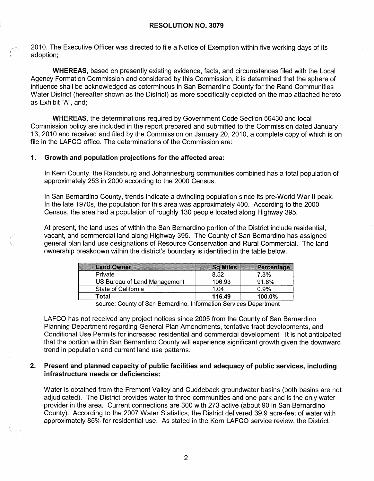2010. The Executive Officer was directed to file a Notice of Exemption within five working days of its adoption;

**WHEREAS,** based on presently existing evidence, facts, and circumstances filed with the Local Agency Formation Commission and considered by this Commission, it is determined that the sphere of influence shall be acknowledged as coterminous in San Bernardino County for the Rand Communities Water District (hereafter shown as the District) as more specifically depicted on the map attached hereto as Exhibit "A", and;

**WHEREAS,** the determinations required by Government Code Section 56430 and local Commission policy are included in the report prepared and submitted to the Commission dated January 13, 2010 and received and filed by the Commission on January 20, 2010, a complete copy of which is on file in the LAFCO office. The determinations of the Commission are:

#### **1. Growth and population projections for the affected area:**

In Kern County, the Randsburg and Johannesburg communities combined has a total population of approximately 253 in 2000 according to the 2000 Census.

In San Bernardino County, trends indicate a dwindling population since its pre-World War II peak. In the late 1970s, the population for this area was approximately 400. According to the 2000 Census, the area had a population of roughly 130 people located along Highway 395.

At present, the land uses of within the San Bernardino portion of the District include residential, vacant, and commercial land along Highway 395. The County of San Bernardino has assigned general plan land use designations of Resource Conservation and Rural Commercial. The land ownership breakdown within the district's boundary is identified in the table below.

| <b>Land Owner</b>            | <b>Sq Miles</b> | Percentage |
|------------------------------|-----------------|------------|
| Private                      | 8.52            | 7.3%       |
| US Bureau of Land Management | 106.93          | 91.8%      |
| State of California          | 1.04            | 0.9%       |
| Total                        | 116.49          | 100.0%     |

source: County of San Bernardino, Information Services Department

LAFCO has not received any project notices since 2005 from the County of San Bernardino Planning Department regarding General Plan Amendments, tentative tract developments, and Conditional Use Permits for increased residential and commercial development. It is not anticipated that the portion within San Bernardino County will experience significant growth given the downward trend in population and current land use patterns.

#### **2. Present and planned capacity of public facilities and adequacy of public services, including infrastructure needs or deficiencies:**

Water is obtained from the Fremont Valley and Cuddeback groundwater basins (both basins are not adjudicated). The District provides water to three communities and one park and is the only water provider in the area. Current connections are 300 with 273 active (about 90 in San Bernardino County). According to the 2007 Water Statistics, the District delivered 39.9 acre-feet of water with approximately 85% for residential use. As stated in the Kern LAFCO service review, the District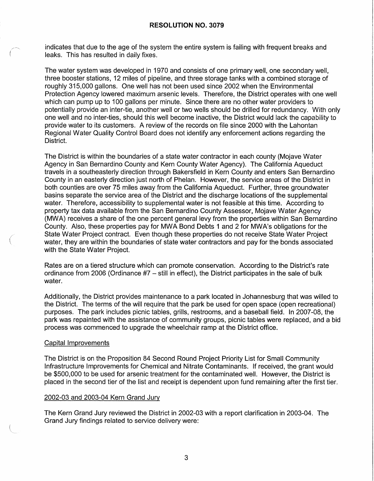indicates that due to the age of the system the entire system is failing with frequent breaks and leaks. This has resulted in daily fixes.

The water system was developed in 1970 and consists of one primary well, one secondary well, three booster stations, 12 miles of pipeline, and three storage tanks with a combined storage of roughly 315,000 gallons. One well has not been used since 2002 when the Environmental Protection Agency lowered maximum arsenic levels. Therefore, the District operates with one well which can pump up to 100 gallons per minute. Since there are no other water providers to potentially provide an inter-tie, another well or two wells should be drilled for redundancy. With only one well and no inter-ties, should this well become inactive, the District would lack the capability to provide water to its customers. A review of the records on file since 2000 with the Lahontan Regional Water Quality Control Board does not identify any enforcement actions regarding the District.

The District is within the boundaries of a state water contractor in each county (Mojave Water Agency in San Bernardino County and Kern County Water Agency). The California Aqueduct travels in a southeasterly direction through Bakersfield in Kern County and enters San Bernardino County in an easterly direction just north of Phelan. However, the service areas of the District in both counties are over 75 miles away from the California Aqueduct. Further, three groundwater basins separate the service area of the District and the discharge locations of the supplemental water. Therefore, accessibility to supplemental water is not feasible at this time. According to property tax data available from the San Bernardino County Assessor, Mojave Water Agency (MWA) receives a share of the one percent general levy from the properties within San Bernardino County. Also, these properties pay for MWA Bond Debts 1 and 2 for MWA's obligations for the State Water Project contract. Even though these properties do not receive State Water Project water, they are within the boundaries of state water contractors and pay for the bonds associated with the State Water Project.

Rates are on a tiered structure which can promote conservation. According to the District's rate ordinance from 2006 (Ordinance #7 - still in effect), the District participates in the sale of bulk water.

Additionally, the District provides maintenance to a park located in Johannesburg that was willed to the District. The terms of the will require that the park be used for open space (open recreational) purposes. The park includes picnic tables, grills, restrooms, and a baseball field. In 2007-08, the park was repainted with the assistance of community groups, picnic tables were replaced, and a bid process was commenced to upgrade the wheelchair ramp at the District office.

#### Capital Improvements

The District is on the Proposition 84 Second Round Project Priority List for Small Community Infrastructure Improvements for Chemical and Nitrate Contaminants. If received, the grant would be \$500,000 to be used for arsenic treatment for the contaminated well. However, the District is placed in the second tier of the list and receipt is dependent upon fund remaining after the first tier.

#### 2002-03 and 2003-04 Kern Grand Jury

The Kern Grand Jury reviewed the District in 2002-03 with a report clarification in 2003-04. The Grand Jury findings related to service delivery were: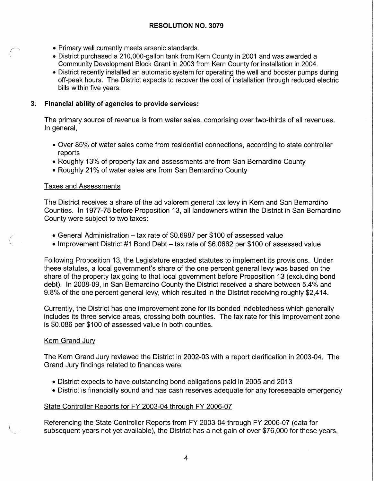- Primary well currently meets arsenic standards.
- District purchased a 210,000-gallon tank from Kern County in 2001 and was awarded a Community Development Block Grant in 2003 from Kern County for installation in 2004.
- District recently installed an automatic system for operating the well and booster pumps during off-peak hours. The District expects to recover the cost of installation through reduced electric bills within five years.

# **3. Financial ability of agencies to provide services:**

The primary source of revenue is from water sales, comprising over two-thirds of all revenues. In general,

- Over 85% of water sales come from residential connections, according to state controller reports
- Roughly 13% of property tax and assessments are from San Bernardino County
- Roughly 21% of water sales are from San Bernardino County

# Taxes and Assessments

The District receives a share of the ad valorem general tax levy in Kern and San Bernardino Counties. In 1977-78 before Proposition 13, all landowners within the District in San Bernardino County were subject to two taxes:

- General Administration tax rate of \$0.6987 per \$100 of assessed value
- Improvement District #1 Bond Debt tax rate of \$6.0662 per \$100 of assessed value

Following Proposition 13, the Legislature enacted statutes to implement its provisions. Under these statutes, a local government's share of the one percent general levy was based on the share of the property tax going to that local government before Proposition 13 ( excluding bond debt). In 2008-09, in San Bernardino County the District received a share between 5.4% and 9.8% of the one percent general levy, which resulted in the District receiving roughly \$2,414.

Currently, the District has one improvement zone for its bonded indebtedness which generally includes its three service areas, crossing both counties. The tax rate for this improvement zone is \$0.086 per \$100 of assessed value in both counties.

# Kern Grand Jury

*/*   $\overline{\phantom{0}}$ 

> The Kern Grand Jury reviewed the District in 2002-03 with a report clarification in 2003-04. The Grand Jury findings related to finances were:

- District expects to have outstanding bond obligations paid in 2005 and 2013
- District is financially sound and has cash reserves adequate for any foreseeable emergency

# State Controller Reports for FY 2003-04 through FY 2006-07

Referencing the State Controller Reports from FY 2003-04 through FY 2006-07 (data for subsequent years not yet available), the District has a net gain of over \$76,000 for these years,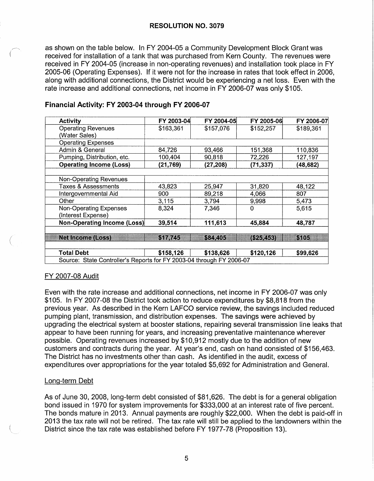as shown on the table below. In FY 2004-05 a Community Development Block Grant was received for installation of a tank that was purchased from Kern County. The revenues were received in FY 2004-05 (increase in non-operating revenues) and installation took place in FY 2005-06 (Operating Expenses). If it were not for the increase in rates that took effect in 2006, along with additional connections, the District would be experiencing a net loss. Even with the rate increase and additional connections, net income in FY 2006-07 was only \$105.

| <b>Activity</b>                                                      | FY 2003-04 | FY 2004-05 | FY 2005-06  | FY 2006-07 |
|----------------------------------------------------------------------|------------|------------|-------------|------------|
| <b>Operating Revenues</b>                                            | \$163,361  | \$157,076  | \$152,257   | \$189,361  |
| (Water Sales)                                                        |            |            |             |            |
| <b>Operating Expenses</b>                                            |            |            |             |            |
| Admin & General                                                      | 84,726     | 93,466     | 151,368     | 110,836    |
| Pumping, Distribution, etc.                                          | 100,404    | 90,818     | 72,226      | 127,197    |
| <b>Operating Income (Loss)</b>                                       | (21,769)   | (27, 208)  | (71, 337)   | (48,682)   |
|                                                                      |            |            |             |            |
| <b>Non-Operating Revenues</b>                                        |            |            |             |            |
| Taxes & Assessments                                                  | 43,823     | 25,947     | 31,820      | 48,122     |
| Intergovernmental Aid                                                | 900        | 89,218     | 4,066       | 807        |
| Other                                                                | 3,115      | 3,794      | 9,998       | 5,473      |
| <b>Non-Operating Expenses</b>                                        | 8,324      | 7,346      | $\mathbf 0$ | 5,615      |
| (Interest Expense)                                                   |            |            |             |            |
| Non-Operating Income (Loss)                                          | 39,514     | 111,613    | 45,884      | 48,787     |
|                                                                      |            |            |             |            |
| <b>Net Income (Loss)</b>                                             | \$17,745   | \$84,405   | (\$25,453)  | \$105      |
|                                                                      |            |            |             |            |
| <b>Total Debt</b>                                                    | \$158,126  | \$138,626  | \$120,126   | \$99,626   |
| Source: State Controller's Reports for FY 2003-04 through FY 2006-07 |            |            |             |            |

### **Financial Activity: FY 2003-04 through FY 2006-07**

#### FY 2007-08 Audit

(

Even with the rate increase and additional connections, net income in FY 2006-07 was only \$105. In FY 2007-08 the District took action to reduce expenditures by \$8,818 from the previous year. As described in the Kern LAFCO service review, the savings included reduced pumping plant, transmission, and distribution expenses. The savings were achieved by upgrading the electrical system at booster stations, repairing several transmission line leaks that appear to have been running for years, and increasing preventative maintenance wherever possible. Operating revenues increased by \$10,912 mostly due to the addition of new customers and contracts during the year. At year's end, cash on hand consisted of \$156,463. The District has no investments other than cash. As identified in the audit, excess of expenditures over appropriations for the year totaled \$5,692 for Administration and General.

#### Long-term Debt

As of June 30, 2008, long-term debt consisted of \$81,626. The debt is for a general obligation bond issued in 1970 for system improvements for \$333,000 at an interest rate of five percent. The bonds mature in 2013. Annual payments are roughly \$22,000. When the debt is paid-off in 2013 the tax rate will not be retired. The tax rate will still be applied to the landowners within the District since the tax rate was established before FY 1977-78 (Proposition 13).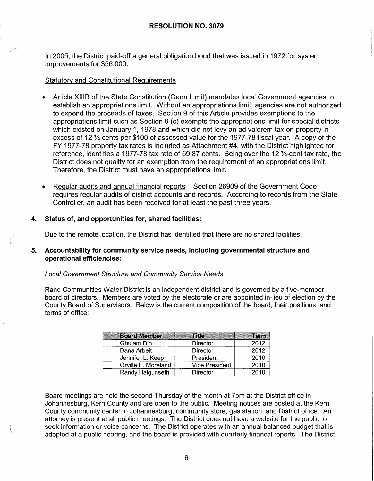In 2005, the District paid-off a general obligation bond that was issued in 1972 for system improvements for \$56,000.

### Statutory and Constitutional Requirements

- Article XIIIB of the State Constitution (Gann Limit) mandates local Government agencies to establish an appropriations limit. Without an appropriations limit, agencies are not authorized to expend the proceeds of taxes. Section 9 of this Article provides exemptions to the appropriations limit such as Section 9 (c) exempts the appropriations limit for special districts which existed on January 1, 1978 and which did not levy an ad valorem tax on property in excess of 12 ½ cents per \$100 of assessed value for the 1977-78 fiscal year. A copy of the FY 1977-78 property tax rates is included as Attachment #4, with the District highlighted for reference, identifies a 1977-78 tax rate of 69.87 cents. Being over the 12 ½-cent tax rate, the District does not qualify for an exemption from the requirement of an appropriations limit. Therefore, the District must have an appropriations limit.
- Regular audits and annual financial reports Section 26909 of the Government Code requires regular audits of district accounts and records. According to records from the State Controller, an audit has been received for at least the past three years.

#### **4. Status of, and opportunities for, shared facilities:**

/  $\overline{\phantom{0}}$ 

Due to the remote location, the District has identified that there are no shared facilities.

#### **5. Accountability for community service needs, including governmental structure and operational efficiencies:**

#### Local Government Structure and Community Service Needs

Rand Communities Water District is an independent district and is governed by a five-member board of directors. Members are voted by the electorate or are appointed in-lieu of election by the County Board of Supervisors. Below is the current composition of the board, their positions, and terms of office:

| <b>Board Member</b> | <b>Title</b>          | Term |
|---------------------|-----------------------|------|
| Ghulam Din          | Director              | 2012 |
| Dana Arbeit         | Director              | 2012 |
| Jennifer L. Keep    | President             | 2010 |
| Orville E. Moreland | <b>Vice President</b> | 2010 |
| Randy Halgunseth    | <b>Director</b>       | 2010 |

Board meetings are held the second Thursday of the month at 7pm at the District office in Johannesburg, Kern County and are open to the public. Meeting notices are posted at the Kern County community center in Johannesburg, community store, gas station, and District office. An attorney is present at all public meetings. The District does not have a website for the public to seek information or voice concerns. The District operates with an annual balanced budget that is adopted at a public hearing, and the board is provided with quarterly financal reports. The District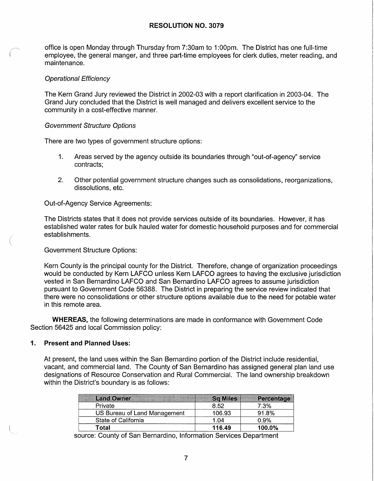office is open Monday through Thursday from 7:30am to 1 :00pm. The District has one full-time employee, the general manger, and three part-time employees for clerk duties, meter reading, and maintenance.

#### Operational Efficiency

The Kern Grand Jury reviewed the District in 2002-03 with a report clarification in 2003-04. The Grand Jury concluded that the District is well managed and delivers excellent service to the community in a cost-effective manner.

#### Government Structure Options

There are two types of government structure options:

- 1. Areas served by the agency outside its boundaries through "out-of-agency" service contracts;
- 2. Other potential government structure changes such as consolidations, reorganizations, dissolutions, etc.

Out-of-Agency Service Agreements:

The Districts states that it does not provide services outside of its boundaries. However,· it has established water rates for bulk hauled water for domestic household purposes and for commercial establishments.

Government Structure Options:

(

Kern County is the principal county for the District. Therefore, change of organization proceedings would be conducted by Kern LAFCO unless Kern LAFCO agrees to having the exclusive jurisdiction vested in San Bernardino LAFCO and San Bernardino LAFCO agrees to assume jurisdiction pursuant to Government Code 56388. The District in preparing the service review indicated that there were no consolidations or other structure options available due to the need for potable water in this remote area.

**WHEREAS,** the following determinations are made in conformance with Government Code Section 56425 and local Commission policy:

### **1. Present and Planned Uses:**

At present, the land uses within the San Bernardino portion of the District include residential, vacant, and commercial land. The County of San Bernardino has assigned general plan land use designations of Resource Conservation and Rural Commercial. The land ownership breakdown within the District's boundary is as follows:

| <b>Land Owner</b>            | <b>Sq Miles</b> | Percentage |
|------------------------------|-----------------|------------|
| Private                      | 8.52            | 7.3%       |
| US Bureau of Land Management | 106.93          | 91.8%      |
| State of California          | 1.04            | 0.9%       |
| Гotal                        | 116.49          | 100.0%     |

source: County of San Bernardino, Information Services Department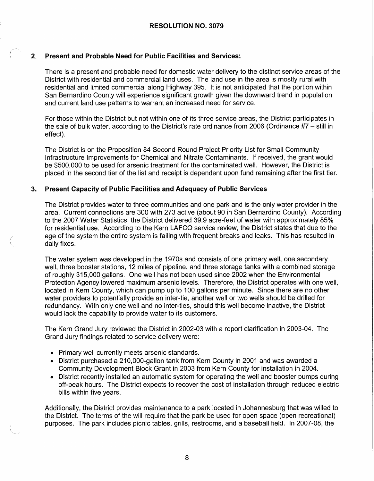### **2. Present and Probable Need for Public Facilities and Services:**

There is a present and probable need for domestic water delivery to the distinct service areas of the District with residential and commercial land uses. The land use in the area is mostly rural with residential and limited commercial along Highway 395. It is not anticipated that the portion within San Bernardino County will experience significant growth given the downward trend in population and current land use patterns to warrant an increased need for service.

For those within the District but not within one of its three service areas, the District participates in the sale of bulk water, according to the District's rate ordinance from 2006 (Ordinance #7 - still in effect).

The District is on the Proposition 84 Second Round Project Priority List for Small Community Infrastructure Improvements for Chemical and Nitrate Contaminants. If received, the grant would be \$500,000 to be used for arsenic treatment for the contaminated well. However, the District is placed in the second tier of the list and receipt is dependent upon fund remaining after the first tier.

#### **3. Present Capacity of Public Facilities and Adequacy of Public Services**

The District provides water to three communities and one park and is the only water provider in the area. Current connections are 300 with 273 active (about 90 in San Bernardino County). According to the 2007 Water Statistics, the District delivered 39.9 acre-feet of water with approximately 85% for residential use. According to the Kern LAFCO service review, the District states that due to the age of the system the entire system is failing with frequent breaks and leaks. This has resulted in daily fixes.

The water system was developed in the 1970s and consists of one primary well, one secondary well, three booster stations, 12 miles of pipeline, and three storage tanks with a combined storage of roughly 315,000 gallons. One well has not been used since 2002 when the Environmental Protection Agency lowered maximum arsenic levels. Therefore, the District operates with one well, located in Kern County, which can pump up to 100 gallons per minute. Since there are no other water providers to potentially provide an inter-tie, another well or two wells should be drilled for redundancy. With only one well and no inter-ties, should this well become inactive, the District would lack the capability to provide water to its customers.

The Kern Grand Jury reviewed the District in 2002-03 with a report clarification in 2003-04. The Grand Jury findings related to service delivery were:

• Primary well currently meets arsenic standards.

(

- District purchased a 210,000-gallon tank from Kern County in 2001 and was awarded a Community Development Block Grant in 2003 from Kern County for installation in 2004.
- District recently installed an automatic system for operating the well and booster pumps during off-peak hours. The District expects to recover the cost of installation through reduced electric bills within five years.

Additionally, the District provides maintenance to a park located in Johannesburg that was willed to the District. The terms of the will require that the park be used for open space (open recreational) purposes. The park includes picnic tables, grills, restrooms, and a baseball field. In 2007-08, the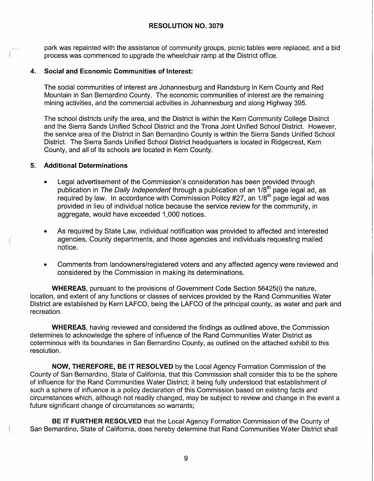park was repainted with the assistance of community groups, picnic tables were replaced, and a bid process was commenced to upgrade the wheelchair ramp at the District office.

# **4. Social and Economic Communities of Interest:**

The social communities of interest are Johannesburg and Randsburg in Kern County and Red Mountain in San Bernardino County. The economic communities of interest are the remaining mining activities, and the commercial activities in Johannesburg and along Highway 395.

The school districts unify the area, and the District is within the Kern Community College District and the Sierra Sands Unified School District and the Trona Joint Unified School District. However, the service area of the District in San Bernardino County is within the Sierra Sands Unified School District. The Sierra Sands Unified School District headquarters is located in Ridgecrest, Kern County, and all of its schools are located in Kern County.

#### **5. Additional Determinations**

- Legal advertisement of the Commission's consideration has been provided through publication in *The Daily Independent* through a publication of an 1/8<sup>th</sup> page legal ad, as required by law. In accordance with Commission Policy #27, an 1/8<sup>th</sup> page legal ad was provided in lieu of individual notice because the service review for the community, in aggregate, would have exceeded 1,000 notices.
- As required by State Law, individual notification was provided to affected and interested agencies, County departments, and those agencies and individuals requesting mailed notice.
- Comments from landowners/registered voters and any affected agency were reviewed and considered by the Commission in making its determinations.

**WHEREAS,** pursuant to the provisions of Government Code Section 56425(i) the nature, location, and extent of any functions or classes of services provided by the Rand Communities Water District are established by Kern LAFCO, being the LAFCO of the principal county, as water and park and recreation.

**WHEREAS,** having reviewed and considered the findings as outlined above, the Commission determines to acknowledge the sphere of influence of the Rand Communities Water District as coterminous with its boundaries in San Bernardino County, as outlined on the attached exhibit to this resolution.

**NOW, THEREFORE, BE IT RESOLVED** by the Local Agency Formation Commission of the County of San Bernardino, State of California, that this Commission shall consider this to be the sphere of influence for the Rand Communities Water District; it being fully understood that establishment of such a sphere of influence is a policy declaration of this Commission based on existing facts and circumstances which, although not readily changed, may be subject to review and change in the event a future significant change of circumstances so warrants;

**BE IT FURTHER RESOLVED** that the Local Agency Formation Commission of the County of San Bernardino, State of California, does hereby determine that Rand Communities Water District shall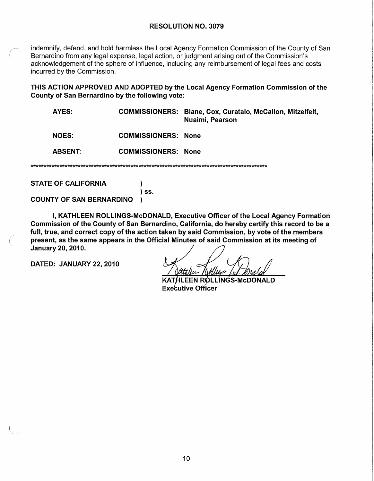indemnifv. defend. and hold harmless the Local Agency Formation Commission of the County of San Bernardino from any legal expense, legal action, or judgment arising out of the Commission's acknowledgement of the sphere of influence, including any reimbursement of legal fees and costs incurred by the Commission.

THIS ACTION APPROVED AND ADOPTED by the Local Agency Formation Commission of the County of San Bernardino by the following vote:

| AYES:          |                            | COMMISSIONERS: Biane, Cox, Curatalo, McCallon, Mitzelfelt,<br>Nuaimi, Pearson |
|----------------|----------------------------|-------------------------------------------------------------------------------|
| <b>NOES:</b>   | <b>COMMISSIONERS: None</b> |                                                                               |
| <b>ABSENT:</b> | <b>COMMISSIONERS: None</b> |                                                                               |

**STATE OF CALIFORNIA** 

 $\overline{\phantom{a}}$  ss.

 $\lambda$ 

**COUNTY OF SAN BERNARDINO**  $\lambda$ 

I, KATHLEEN ROLLINGS-McDONALD, Executive Officer of the Local Agency Formation Commission of the County of San Bernardino, California, do hereby certify this record to be a full, true, and correct copy of the action taken by said Commission, by vote of the members present, as the same appears in the Official Minutes of said Commission at its meeting of January 20, 2010.

DATED: JANUARY 22, 2010

KATHLEEN ROLLINGS-McDONALD **Executive Officer**